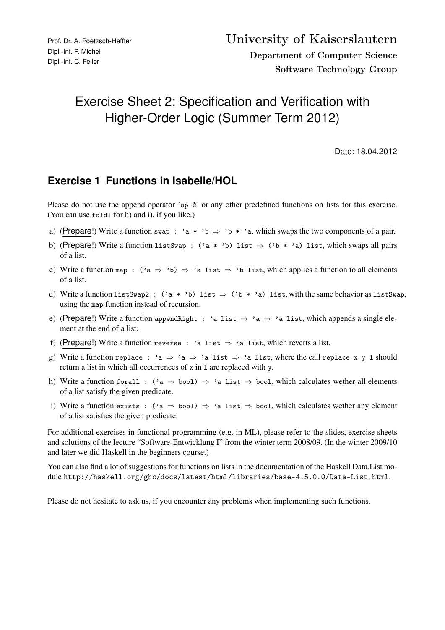## Exercise Sheet 2: Specification and Verification with Higher-Order Logic (Summer Term 2012)

Date: 18.04.2012

## **Exercise 1 Functions in Isabelle/HOL**

Please do not use the append operator 'op  $\mathcal Q$ ' or any other predefined functions on lists for this exercise. (You can use foldl for h) and i), if you like.)

- a) (Prepare!) Write a function swap : 'a \* 'b  $\Rightarrow$  'b \* 'a, which swaps the two components of a pair.
- b) (Prepare!) Write a function listSwap :  $(2a * 'b)$  list  $\Rightarrow (2b * 'a)$  list, which swaps all pairs of a list.
- c) Write a function map :  $(2a \Rightarrow 2b) \Rightarrow 2a$  list  $\Rightarrow 2b$  list, which applies a function to all elements of a list.
- d) Write a function listSwap2 :  $(ia * 'b)$  list  $\Rightarrow (b * 'a)$  list, with the same behavior as listSwap, using the map function instead of recursion.
- e) (Prepare!) Write a function appendRight : 'a list  $\Rightarrow$  'a  $\Rightarrow$  'a list, which appends a single element at the end of a list.
- f) (Prepare!) Write a function reverse : 'a list  $\Rightarrow$  'a list, which reverts a list.
- g) Write a function replace : 'a  $\Rightarrow$  'a  $\Rightarrow$  'a list  $\Rightarrow$  'a list, where the call replace x y 1 should return a list in which all occurrences of x in 1 are replaced with y.
- h) Write a function forall : ('a  $\Rightarrow$  bool)  $\Rightarrow$  'a list  $\Rightarrow$  bool, which calculates wether all elements of a list satisfy the given predicate.
- i) Write a function exists : ('a  $\Rightarrow$  bool)  $\Rightarrow$  'a list  $\Rightarrow$  bool, which calculates wether any element of a list satisfies the given predicate.

For additional exercises in functional programming (e.g. in ML), please refer to the slides, exercise sheets and solutions of the lecture "Software-Entwicklung I" from the winter term 2008/09. (In the winter 2009/10 and later we did Haskell in the beginners course.)

You can also find a lot of suggestions for functions on lists in the documentation of the Haskell Data.List module http://haskell.org/ghc/docs/latest/html/libraries/base-4.5.0.0/Data-List.html.

Please do not hesitate to ask us, if you encounter any problems when implementing such functions.